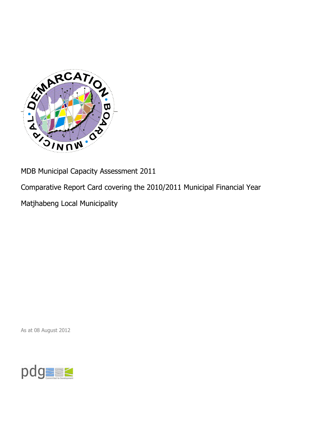

MDB Municipal Capacity Assessment 2011

Comparative Report Card covering the 2010/2011 Municipal Financial Year

Matjhabeng Local Municipality

As at 08 August 2012

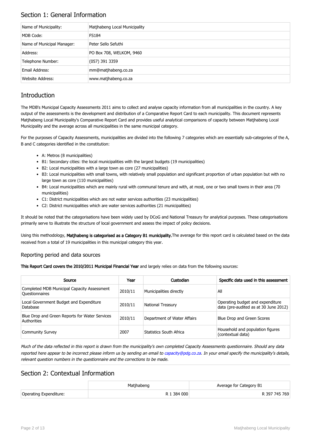## Section 1: General Information

| Name of Municipality:      | Matjhabeng Local Municipality |
|----------------------------|-------------------------------|
| MDB Code:                  | <b>FS184</b>                  |
| Name of Municipal Manager: | Peter Sello Sefuthi           |
| Address:                   | PO Box 708, WELKOM, 9460      |
| Telephone Number:          | $(057)$ 391 3359              |
| Email Address:             | mm@matjhabeng.co.za           |
| Website Address:           | www.matjhabeng.co.za          |

## **Introduction**

The MDB's Municipal Capacity Assessments 2011 aims to collect and analyse capacity information from all municipalities in the country. A key output of the assessments is the development and distribution of a Comparative Report Card to each municipality. This document represents Matjhabeng Local Municipality's Comparative Report Card and provides useful analytical comparisons of capacity between Matjhabeng Local Municipality and the average across all municipalities in the same municipal category.

For the purposes of Capacity Assessments, municipalities are divided into the following 7 categories which are essentially sub-categories of the A, B and C categories identified in the constitution:

- A: Metros (8 municipalities)
- B1: Secondary cities: the local municipalities with the largest budgets (19 municipalities)
- B2: Local municipalities with a large town as core (27 municipalities)
- B3: Local municipalities with small towns, with relatively small population and significant proportion of urban population but with no large town as core (110 municipalities)
- B4: Local municipalities which are mainly rural with communal tenure and with, at most, one or two small towns in their area (70 municipalities)
- C1: District municipalities which are not water services authorities (23 municipalities)
- C2: District municipalities which are water services authorities (21 municipalities)

It should be noted that the categorisations have been widely used by DCoG and National Treasury for analytical purposes. These categorisations primarily serve to illustrate the structure of local government and assess the impact of policy decisions.

Using this methodology, Matjhabeng is categorised as a Category B1 municipality. The average for this report card is calculated based on the data received from a total of 19 municipalities in this municipal category this year.

#### Reporting period and data sources

This Report Card covers the 2010/2011 Municipal Financial Year and largely relies on data from the following sources:

| Source                                                               | Year    | Custodian                   | Specific data used in this assessment                                     |
|----------------------------------------------------------------------|---------|-----------------------------|---------------------------------------------------------------------------|
| Completed MDB Municipal Capacity Assessment<br><b>Ouestionnaires</b> | 2010/11 | Municipalities directly     | All                                                                       |
| Local Government Budget and Expenditure<br>Database                  | 2010/11 | <b>National Treasury</b>    | Operating budget and expenditure<br>data (pre-audited as at 30 June 2012) |
| Blue Drop and Green Reports for Water Services<br>Authorities        | 2010/11 | Department of Water Affairs | Blue Drop and Green Scores                                                |
| <b>Community Survey</b>                                              | 2007    | Statistics South Africa     | Household and population figures<br>(contextual data)                     |

Much of the data reflected in this report is drawn from the municipality's own completed Capacity Assessments questionnaire. Should any data reported here appear to be incorrect please inform us by sending an email to [capacity@pdg.co.za](mailto:capacity@pdg.co.za). In your email specify the municipality's details, relevant question numbers in the questionnaire and the corrections to be made.

### Section 2: Contextual Information

|                        | Matjhabeng  | Average for Category B1 |
|------------------------|-------------|-------------------------|
| Operating Expenditure: | R 1 384 000 | R 397 745 769           |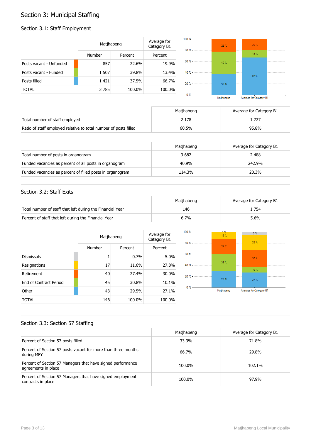## Section 3: Municipal Staffing

## Section 3.1: Staff Employment

|                         | Matjhabeng |         | Average for<br>Category B1 | $100 \%$ -<br>80% | 23% | $20 \%$ |  |
|-------------------------|------------|---------|----------------------------|-------------------|-----|---------|--|
|                         | Number     | Percent | Percent                    |                   |     | 13%     |  |
| Posts vacant - Unfunded | 857        | 22.6%   | 19.9%                      | 60 % -            | 40% |         |  |
| Posts vacant - Funded   | 1 507      | 39.8%   | 13.4%                      | 40 % -            |     | $67 \%$ |  |
| Posts filled            | 1421       | 37.5%   | 66.7%                      | $20% -$           | 38% |         |  |
| <b>TOTAL</b>            | 3 7 8 5    | 100.0%  | 100.0%                     | $0\%$             |     |         |  |

Matjhabeng Average for Category B1

|                                                                  | Matihabeng | Average for Category B1 |
|------------------------------------------------------------------|------------|-------------------------|
| Total number of staff employed                                   | 2 178      | . 727                   |
| Ratio of staff employed relative to total number of posts filled | 60.5%      | 95.8%                   |

|                                                           | Matihabeng | Average for Category B1 |
|-----------------------------------------------------------|------------|-------------------------|
| Total number of posts in organogram                       | 3682       | 2 4 8 8                 |
| Funded vacancies as percent of all posts in organogram    | 40.9%      | 242.9%                  |
| Funded vacancies as percent of filled posts in organogram | 114.3%     | 20.3%                   |

#### Section 3.2: Staff Exits

|                                                           | Matihabeng | Average for Category B1 |
|-----------------------------------------------------------|------------|-------------------------|
| Total number of staff that left during the Financial Year | 146        | 754                     |
| Percent of staff that left during the Financial Year      | 6.7%       | 5.6%                    |

|                               |        | Matjhabeng |         |  |
|-------------------------------|--------|------------|---------|--|
|                               | Number | Percent    | Percent |  |
| <b>Dismissals</b>             | 1      | 0.7%       | 5.0%    |  |
| Resignations                  | 17     | 11.6%      | 27.8%   |  |
| Retirement                    | 40     | 27.4%      | 30.0%   |  |
| <b>Fnd of Contract Period</b> | 45     | 30.8%      | 10.1%   |  |
| Other                         | 43     | 29.5%      | 27.1%   |  |
| TOTAL                         | 146    | 100.0%     | 100.0%  |  |



#### Section 3.3: Section 57 Staffing

|                                                                                    | Matjhabeng | Average for Category B1 |
|------------------------------------------------------------------------------------|------------|-------------------------|
| Percent of Section 57 posts filled                                                 | 33.3%      | 71.8%                   |
| Percent of Section 57 posts vacant for more than three months<br>during MFY        | 66.7%      | 29.8%                   |
| Percent of Section 57 Managers that have signed performance<br>agreements in place | 100.0%     | 102.1%                  |
| Percent of Section 57 Managers that have signed employment<br>contracts in place   | 100.0%     | 97.9%                   |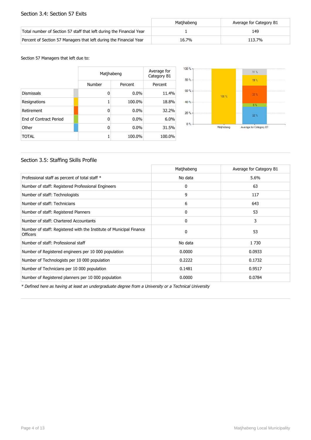#### Section 3.4: Section 57 Exits

|                                                                      | Matihabeng | Average for Category B1 |
|----------------------------------------------------------------------|------------|-------------------------|
| Total number of Section 57 staff that left during the Financial Year |            | 149                     |
| Percent of Section 57 Managers that left during the Financial Year   | 16.7%      | 113.7%                  |

#### Section 57 Managers that left due to:

|                        |        | Matjhabeng |         |  |
|------------------------|--------|------------|---------|--|
|                        | Number | Percent    | Percent |  |
| <b>Dismissals</b>      | 0      | 0.0%       | 11.4%   |  |
| Resignations           |        | 100.0%     | 18.8%   |  |
| Retirement             | 0      | 0.0%       | 32.2%   |  |
| End of Contract Period | 0      | $0.0\%$    | 6.0%    |  |
| Other                  | 0      | $0.0\%$    | 31.5%   |  |
| <b>TOTAL</b>           |        | 100.0%     | 100.0%  |  |



#### Section 3.5: Staffing Skills Profile

|                                                                                        | Matjhabeng | Average for Category B1 |
|----------------------------------------------------------------------------------------|------------|-------------------------|
| Professional staff as percent of total staff *                                         | No data    | 5.6%                    |
| Number of staff: Registered Professional Engineers                                     | 0          | 63                      |
| Number of staff: Technologists                                                         | 9          | 117                     |
| Number of staff: Technicians                                                           | 6          | 643                     |
| Number of staff: Registered Planners                                                   | 0          | 53                      |
| Number of staff: Chartered Accountants                                                 | 0          | 3                       |
| Number of staff: Registered with the Institute of Municipal Finance<br><b>Officers</b> | $\Omega$   | 53                      |
| Number of staff: Professional staff                                                    | No data    | 1 7 3 0                 |
| Number of Registered engineers per 10 000 population                                   | 0.0000     | 0.0933                  |
| Number of Technologists per 10 000 population                                          | 0.2222     | 0.1732                  |
| Number of Technicians per 10 000 population                                            | 0.1481     | 0.9517                  |
| Number of Registered planners per 10 000 population                                    | 0.0000     | 0.0784                  |

\* Defined here as having at least an undergraduate degree from a University or a Technical University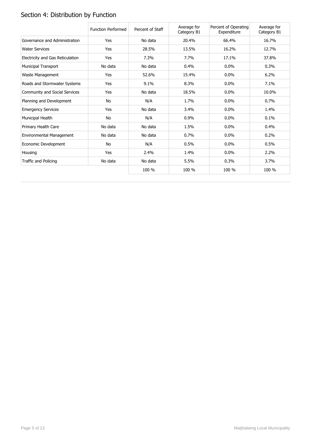# Section 4: Distribution by Function

|                                  | <b>Function Performed</b> | Percent of Staff | Average for<br>Category B1 | Percent of Operating<br>Expenditure | Average for<br>Category B1 |
|----------------------------------|---------------------------|------------------|----------------------------|-------------------------------------|----------------------------|
| Governance and Administration    | Yes                       | No data          | 20.4%                      | 66.4%                               | 16.7%                      |
| <b>Water Services</b>            | Yes                       | 28.5%            | 13.5%                      | 16.2%                               | 12.7%                      |
| Electricity and Gas Reticulation | Yes                       | 7.3%             | 7.7%                       | 17.1%                               | 37.8%                      |
| <b>Municipal Transport</b>       | No data                   | No data          | 0.4%                       | 0.0%                                | 0.3%                       |
| Waste Management                 | Yes                       | 52.6%            | 15.4%                      | $0.0\%$                             | 6.2%                       |
| Roads and Stormwater Systems     | Yes                       | 9.1%             | 8.3%                       | $0.0\%$                             | 7.1%                       |
| Community and Social Services    | Yes                       | No data          | 18.5%                      | $0.0\%$                             | 10.0%                      |
| Planning and Development         | No                        | N/A              | 1.7%                       | 0.0%                                | 0.7%                       |
| <b>Emergency Services</b>        | Yes                       | No data          | 3.4%                       | 0.0%                                | 1.4%                       |
| Municipal Health                 | No                        | N/A              | 0.9%                       | 0.0%                                | 0.1%                       |
| Primary Health Care              | No data                   | No data          | 1.5%                       | 0.0%                                | 0.4%                       |
| Environmental Management         | No data                   | No data          | 0.7%                       | $0.0\%$                             | 0.2%                       |
| Economic Development             | No                        | N/A              | 0.5%                       | 0.0%                                | 0.5%                       |
| Housing                          | Yes                       | 2.4%             | 1.4%                       | $0.0\%$                             | 2.2%                       |
| Traffic and Policing             | No data                   | No data          | 5.5%                       | 0.3%                                | 3.7%                       |
|                                  |                           | 100 %            | 100 %                      | 100 %                               | 100 %                      |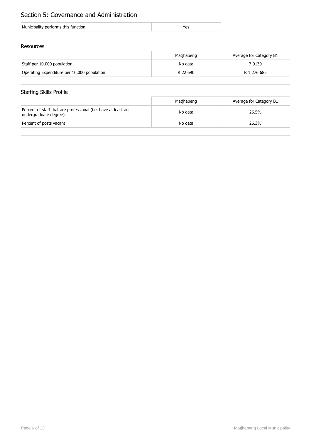## Section 5: Governance and Administration

| Municipality performs this function: |  |
|--------------------------------------|--|
|                                      |  |

#### Resources

|                                             | Matihabeng | Average for Category B1 |
|---------------------------------------------|------------|-------------------------|
| Staff per 10,000 population                 | No data    | 7.9130                  |
| Operating Expenditure per 10,000 population | R 22 690   | R 1 276 685             |

## Staffing Skills Profile

|                                                                                        | Matihabeng | Average for Category B1 |
|----------------------------------------------------------------------------------------|------------|-------------------------|
| Percent of staff that are professional (i.e. have at least an<br>undergraduate degree) | No data    | 26.5%                   |
| Percent of posts vacant                                                                | No data    | 26.3%                   |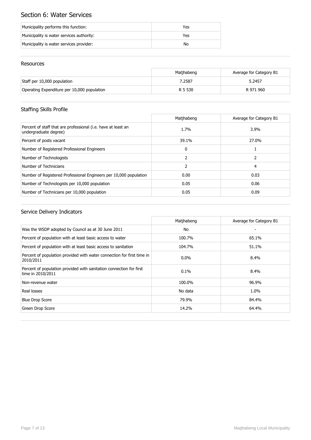## Section 6: Water Services

| Municipality performs this function:      | Yes |
|-------------------------------------------|-----|
| Municipality is water services authority: | Yes |
| Municipality is water services provider:  | No  |

#### Resources

|                                             | Matihabeng | Average for Category B1 |
|---------------------------------------------|------------|-------------------------|
| Staff per 10,000 population                 | 7.2587     | 5.2457                  |
| Operating Expenditure per 10,000 population | R 5 530    | R 971 960               |

## Staffing Skills Profile

|                                                                                        | Matjhabeng | Average for Category B1 |
|----------------------------------------------------------------------------------------|------------|-------------------------|
| Percent of staff that are professional (i.e. have at least an<br>undergraduate degree) | 1.7%       | 3.9%                    |
| Percent of posts vacant                                                                | 39.1%      | 27.0%                   |
| Number of Registered Professional Engineers                                            | 0          |                         |
| Number of Technologists                                                                |            |                         |
| Number of Technicians                                                                  | 2          | 4                       |
| Number of Registered Professional Engineers per 10,000 population                      | 0.00       | 0.03                    |
| Number of Technologists per 10,000 population                                          | 0.05       | 0.06                    |
| Number of Technicians per 10,000 population                                            | 0.05       | 0.09                    |

|                                                                                          | Matihabeng | Average for Category B1 |
|------------------------------------------------------------------------------------------|------------|-------------------------|
| Was the WSDP adopted by Council as at 30 June 2011                                       | No         |                         |
| Percent of population with at least basic access to water                                | 100.7%     | 65.1%                   |
| Percent of population with at least basic access to sanitation                           | 104.7%     | 51.1%                   |
| Percent of population provided with water connection for first time in<br>2010/2011      | $0.0\%$    | $8.4\%$                 |
| Percent of population provided with sanitation connection for first<br>time in 2010/2011 | 0.1%       | 8.4%                    |
| Non-revenue water                                                                        | 100.0%     | 96.9%                   |
| Real losses                                                                              | No data    | 1.0%                    |
| <b>Blue Drop Score</b>                                                                   | 79.9%      | 84.4%                   |
| Green Drop Score                                                                         | 14.2%      | 64.4%                   |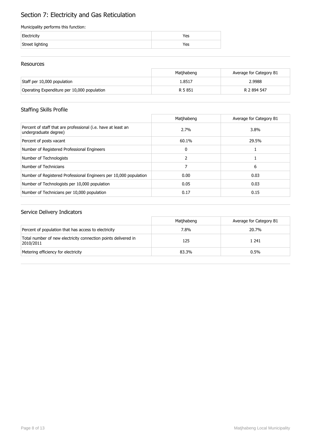## Section 7: Electricity and Gas Reticulation

#### Municipality performs this function:

| Electricity     | es/ |
|-----------------|-----|
| Street lighting | 'es |

#### Resources

|                                             | Matihabeng | Average for Category B1 |
|---------------------------------------------|------------|-------------------------|
| Staff per 10,000 population                 | 1.8517     | 2.9988                  |
| Operating Expenditure per 10,000 population | R 5 851    | R 2 894 547             |

## Staffing Skills Profile

|                                                                                        | Matihabeng | Average for Category B1 |
|----------------------------------------------------------------------------------------|------------|-------------------------|
| Percent of staff that are professional (i.e. have at least an<br>undergraduate degree) | 2.7%       | $3.8\%$                 |
| Percent of posts vacant                                                                | 60.1%      | 29.5%                   |
| Number of Registered Professional Engineers                                            | 0          |                         |
| Number of Technologists                                                                | 2          |                         |
| Number of Technicians                                                                  |            | 6                       |
| Number of Registered Professional Engineers per 10,000 population                      | 0.00       | 0.03                    |
| Number of Technologists per 10,000 population                                          | 0.05       | 0.03                    |
| Number of Technicians per 10,000 population                                            | 0.17       | 0.15                    |

|                                                                             | Matihabeng | Average for Category B1 |
|-----------------------------------------------------------------------------|------------|-------------------------|
| Percent of population that has access to electricity                        | 7.8%       | 20.7%                   |
| Total number of new electricity connection points delivered in<br>2010/2011 | 125        | 1 241                   |
| Metering efficiency for electricity                                         | 83.3%      | $0.5\%$                 |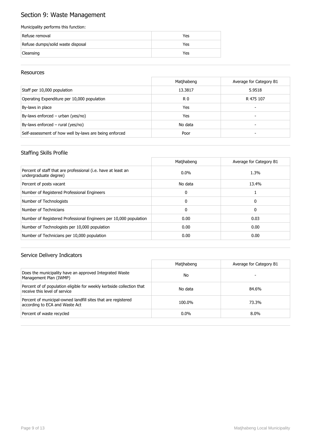## Section 9: Waste Management

#### Municipality performs this function:

| Refuse removal                    | Yes |
|-----------------------------------|-----|
| Refuse dumps/solid waste disposal | Yes |
| Cleansing                         | Yes |

#### Resources

|                                                        | Matjhabeng     | Average for Category B1 |
|--------------------------------------------------------|----------------|-------------------------|
| Staff per 10,000 population                            | 13.3817        | 5.9518                  |
| Operating Expenditure per 10,000 population            | R <sub>0</sub> | R 475 107               |
| By-laws in place                                       | Yes            |                         |
| By-laws enforced - urban (yes/no)                      | Yes            | -                       |
| By-laws enforced $-$ rural (yes/no)                    | No data        |                         |
| Self-assessment of how well by-laws are being enforced | Poor           |                         |

#### Staffing Skills Profile

|                                                                                        | Matihabeng   | Average for Category B1 |
|----------------------------------------------------------------------------------------|--------------|-------------------------|
| Percent of staff that are professional (i.e. have at least an<br>undergraduate degree) | $0.0\%$      | 1.3%                    |
| Percent of posts vacant                                                                | No data      | 13.4%                   |
| Number of Registered Professional Engineers                                            | $\Omega$     |                         |
| Number of Technologists                                                                | $\mathbf{0}$ | 0                       |
| Number of Technicians                                                                  | $\mathbf{0}$ | 0                       |
| Number of Registered Professional Engineers per 10,000 population                      | 0.00         | 0.03                    |
| Number of Technologists per 10,000 population                                          | 0.00         | 0.00                    |
| Number of Technicians per 10,000 population                                            | 0.00         | 0.00                    |

|                                                                                                        | Matihabeng | Average for Category B1 |
|--------------------------------------------------------------------------------------------------------|------------|-------------------------|
| Does the municipality have an approved Integrated Waste<br>Management Plan (IWMP)                      | No         |                         |
| Percent of of population eligible for weekly kerbside collection that<br>receive this level of service | No data    | 84.6%                   |
| Percent of municipal-owned landfill sites that are registered<br>according to ECA and Waste Act        | 100.0%     | 73.3%                   |
| Percent of waste recycled                                                                              | $0.0\%$    | $8.0\%$                 |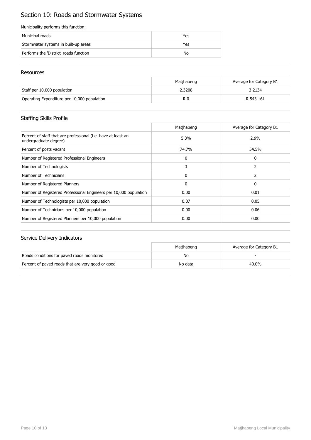## Section 10: Roads and Stormwater Systems

#### Municipality performs this function:

| Municipal roads                        | Yes |
|----------------------------------------|-----|
| Stormwater systems in built-up areas   | Yes |
| Performs the 'District' roads function | No  |

#### Resources

|                                             | Matihabeng | Average for Category B1 |
|---------------------------------------------|------------|-------------------------|
| Staff per 10,000 population                 | 2.3208     | 3.2134                  |
| Operating Expenditure per 10,000 population | R C        | R 543 161               |

## Staffing Skills Profile

|                                                                                        | Matjhabeng   | Average for Category B1 |
|----------------------------------------------------------------------------------------|--------------|-------------------------|
| Percent of staff that are professional (i.e. have at least an<br>undergraduate degree) | 5.3%         | 2.9%                    |
| Percent of posts vacant                                                                | 74.7%        | 54.5%                   |
| Number of Registered Professional Engineers                                            | 0            | 0                       |
| Number of Technologists                                                                | 3            | 2                       |
| Number of Technicians                                                                  | $\mathbf{0}$ | 2                       |
| Number of Registered Planners                                                          | 0            | 0                       |
| Number of Registered Professional Engineers per 10,000 population                      | 0.00         | 0.01                    |
| Number of Technologists per 10,000 population                                          | 0.07         | 0.05                    |
| Number of Technicians per 10,000 population                                            | 0.00         | 0.06                    |
| Number of Registered Planners per 10,000 population                                    | 0.00         | 0.00                    |

|                                                   | Matihabeng | Average for Category B1 |
|---------------------------------------------------|------------|-------------------------|
| Roads conditions for paved roads monitored        | No         |                         |
| Percent of paved roads that are very good or good | No data    | 40.0%                   |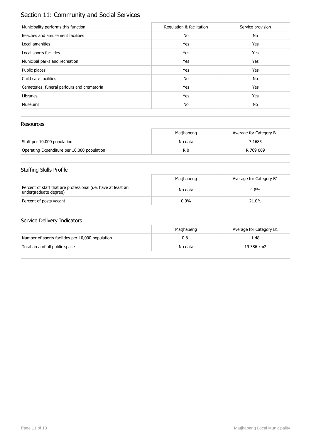## Section 11: Community and Social Services

| Municipality performs this function:        | Regulation & facilitation | Service provision |
|---------------------------------------------|---------------------------|-------------------|
| Beaches and amusement facilities            | No                        | No                |
| Local amenities                             | Yes                       | Yes               |
| Local sports facilities                     | Yes                       | Yes               |
| Municipal parks and recreation              | Yes                       | Yes               |
| Public places                               | Yes                       | Yes               |
| Child care facilities                       | No                        | No                |
| Cemeteries, funeral parlours and crematoria | Yes                       | Yes               |
| Libraries                                   | Yes                       | Yes               |
| <b>Museums</b>                              | No                        | No                |

#### Resources

|                                             | Matihabeng | Average for Category B1 |
|---------------------------------------------|------------|-------------------------|
| Staff per 10,000 population                 | No data    | 7.1685                  |
| Operating Expenditure per 10,000 population | R 0        | R 769 069               |

## Staffing Skills Profile

|                                                                                        | Matihabeng | Average for Category B1 |
|----------------------------------------------------------------------------------------|------------|-------------------------|
| Percent of staff that are professional (i.e. have at least an<br>undergraduate degree) | No data    | 4.8%                    |
| Percent of posts vacant                                                                | $0.0\%$    | 21.0%                   |

|                                                   | Matihabeng | Average for Category B1 |
|---------------------------------------------------|------------|-------------------------|
| Number of sports facilities per 10,000 population | 0.81       | 1.48                    |
| Total area of all public space                    | No data    | 19 386 km2              |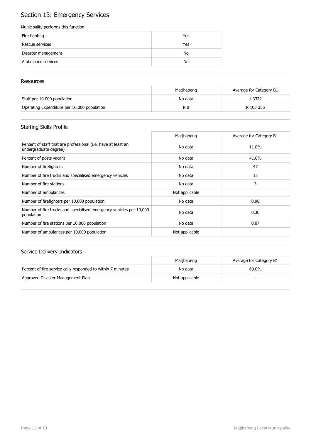## Section 13: Emergency Services

#### Municipality performs this function:

| Fire fighting       | Yes |
|---------------------|-----|
| Rescue services     | Yes |
| Disaster management | No  |
| Ambulance services  | No  |

#### **Resources**

|                                             | Matihabeng | Average for Category B1 |
|---------------------------------------------|------------|-------------------------|
| Staff per 10,000 population                 | No data    | 1.3322                  |
| Operating Expenditure per 10,000 population | R 0        | R 103 356               |

## Staffing Skills Profile

|                                                                                        | Matjhabeng     | Average for Category B1 |
|----------------------------------------------------------------------------------------|----------------|-------------------------|
| Percent of staff that are professional (i.e. have at least an<br>undergraduate degree) | No data        | 11.8%                   |
| Percent of posts vacant                                                                | No data        | 41.0%                   |
| Number of firefighters                                                                 | No data        | 47                      |
| Number of fire trucks and specialised emergency vehicles                               | No data        | 13                      |
| Number of fire stations                                                                | No data        | 3                       |
| Number of ambulances                                                                   | Not applicable |                         |
| Number of firefighters per 10,000 population                                           | No data        | 0.98                    |
| Number of fire trucks and specialised emergency vehicles per 10,000<br>population      | No data        | 0.30                    |
| Number of fire stations per 10,000 population                                          | No data        | 0.07                    |
| Number of ambulances per 10,000 population                                             | Not applicable |                         |

|                                                             | Matihabeng     | Average for Category B1 |
|-------------------------------------------------------------|----------------|-------------------------|
| Percent of fire service calls responded to within 7 minutes | No data        | 69.0%                   |
| Approved Disaster Management Plan                           | Not applicable |                         |